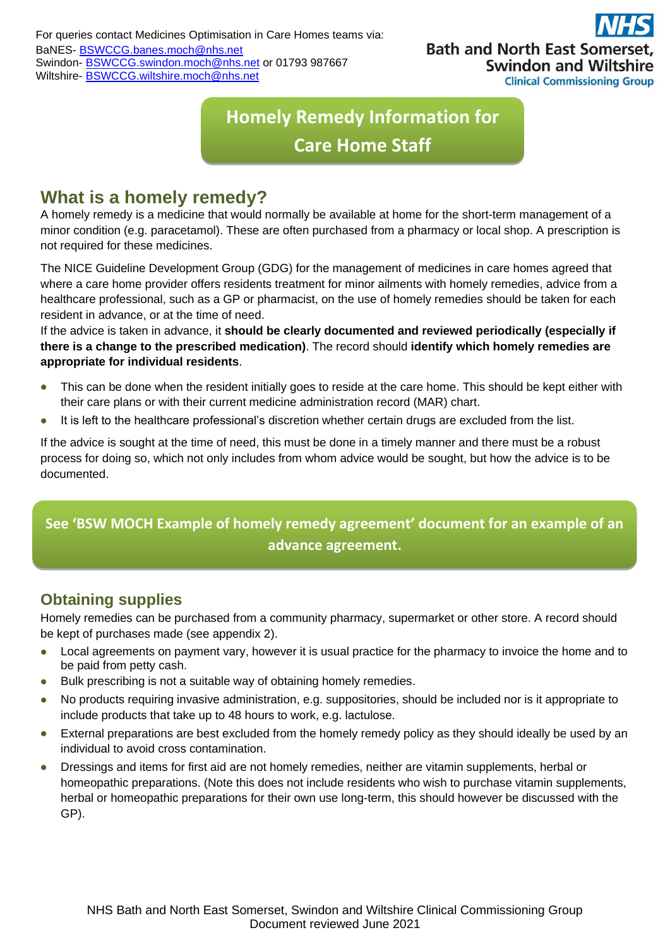## **Bath and North East Some Swindon and Wiltshire Clinical Commissioning Group**

# **Homely Remedy Information for Care Home Staff**

### **What is a homely remedy?**

A homely remedy is a medicine that would normally be available at home for the short-term management of a minor condition (e.g. paracetamol). These are often purchased from a pharmacy or local shop. A prescription is not required for these medicines.

The NICE Guideline Development Group (GDG) for the management of medicines in care homes agreed that where a care home provider offers residents treatment for minor ailments with homely remedies, advice from a healthcare professional, such as a GP or pharmacist, on the use of homely remedies should be taken for each resident in advance, or at the time of need.

If the advice is taken in advance, it **should be clearly documented and reviewed periodically (especially if there is a change to the prescribed medication)**. The record should **identify which homely remedies are appropriate for individual residents**.

- This can be done when the resident initially goes to reside at the care home. This should be kept either with their care plans or with their current medicine administration record (MAR) chart.
- It is left to the healthcare professional's discretion whether certain drugs are excluded from the list.

If the advice is sought at the time of need, this must be done in a timely manner and there must be a robust process for doing so, which not only includes from whom advice would be sought, but how the advice is to be documented.

### **See 'BSW MOCH Example of homely remedy agreement' document for an example of an advance agreement.**

### **Obtaining supplies**

Homely remedies can be purchased from a community pharmacy, supermarket or other store. A record should be kept of purchases made (see appendix 2).

- Local agreements on payment vary, however it is usual practice for the pharmacy to invoice the home and to be paid from petty cash.
- Bulk prescribing is not a suitable way of obtaining homely remedies.
- No products requiring invasive administration, e.g. suppositories, should be included nor is it appropriate to include products that take up to 48 hours to work, e.g. lactulose.
- External preparations are best excluded from the homely remedy policy as they should ideally be used by an individual to avoid cross contamination.
- Dressings and items for first aid are not homely remedies, neither are vitamin supplements, herbal or homeopathic preparations. (Note this does not include residents who wish to purchase vitamin supplements, herbal or homeopathic preparations for their own use long-term, this should however be discussed with the GP).